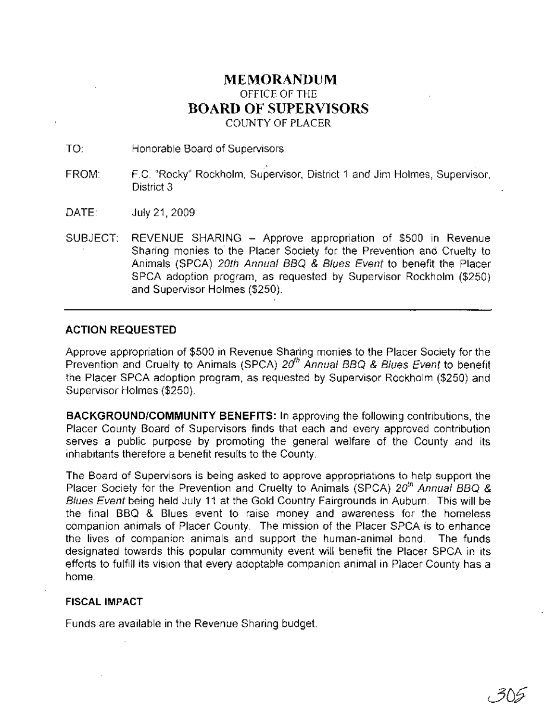## **MEMORANDUM** OFFICE OF THE **BOARD OF SUPERVISORS** COUNTY OF PLACER

TO: Honorable Board of Supervisors

- . . FROM: F.C. "Rocky" Rockholm, Supervisor, District 1 and Jim Holmes, Supervisor, District 3
- DATE: July 21,2009
- SUBJECT: REVENUE SHARING Approve appropriation of \$500 in Revenue Sharing monies to' the Placer Society for the Prevention and Cruelty to Animals (SPCA) 20th Annual BBQ & Blues Event to benefit the Placer SPCA adoption program, as requested by Supervisor Rockholm (\$250) and Supervisor Holmes (\$250).

## **ACTION REQUESTED**

Approve appropriation of \$500 in Revenue Sharing monies to the Placer Society for the Prevention and Cruelty to Animals (SPCA) 20<sup>th</sup> Annual BBQ & Blues Event to benefit the Placer SPCA adoption program, as requested by Supervisor Rockholm (\$250) and Supervisor Holmes (\$250).

**BACKGROUND/COMMUNITY BENEFITS: In** approving the following contributions, the Placer County Board of Supervisors finds that each and every approved contribution serves a public purpose by promoting the general welfare of the County and its inhabitants therefore a benefit results to the County.

The Board of Supervisors is being asked to approve appropriations to help support the Placer Society for the Prevention and Cruelty to Animals (SPCA) 20<sup>th</sup> Annual BBQ & Blues Event being held July 11 at the Gold Country Fairgrounds in Auburn. This will be the final BBQ & Blues event to raise money and awareness for the homeless companion animals of Placer County. The mission of the Placer SPCA is to enhance the lives of companion animals and support the human-animal bond. The funds designated towards this popular community event will benefit the Placer SPCA in its efforts to fulfill its vision that every adoptable companion animal in Placer County has a home. The contract of the contract of the contract of the contract of the contract of the contract of the contract of the contract of the contract of the contract of the contract of the contract of the contract of the cont

## **FISCAL IMPACT**

Funds are available in the Revenue Sharing budget.